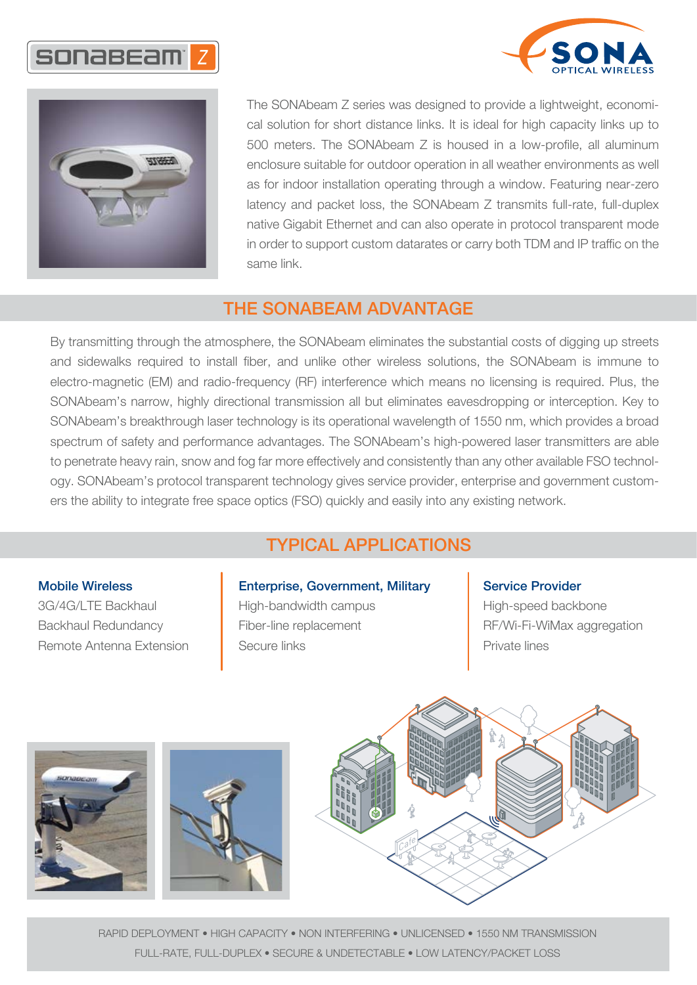





The SONAbeam Z series was designed to provide a lightweight, economical solution for short distance links. It is ideal for high capacity links up to 500 meters. The SONAbeam Z is housed in a low-profile, all aluminum enclosure suitable for outdoor operation in all weather environments as well as for indoor installation operating through a window. Featuring near-zero latency and packet loss, the SONAbeam Z transmits full-rate, full-duplex native Gigabit Ethernet and can also operate in protocol transparent mode in order to support custom datarates or carry both TDM and IP traffic on the same link.

## THE SONABEAM ADVANTAGE

By transmitting through the atmosphere, the SONAbeam eliminates the substantial costs of digging up streets and sidewalks required to install fiber, and unlike other wireless solutions, the SONAbeam is immune to electro-magnetic (EM) and radio-frequency (RF) interference which means no licensing is required. Plus, the SONAbeam's narrow, highly directional transmission all but eliminates eavesdropping or interception. Key to SONAbeam's breakthrough laser technology is its operational wavelength of 1550 nm, which provides a broad spectrum of safety and performance advantages. The SONAbeam's high-powered laser transmitters are able to penetrate heavy rain, snow and fog far more effectively and consistently than any other available FSO technology. SONAbeam's protocol transparent technology gives service provider, enterprise and government customers the ability to integrate free space optics (FSO) quickly and easily into any existing network.

# TYPICAL APPLICATIONS

#### Mobile Wireless

3G/4G/LTE Backhaul Backhaul Redundancy Remote Antenna Extension

### Enterprise, Government, Military

High-bandwidth campus Fiber-line replacement Secure links

#### Service Provider

High-speed backbone RF/Wi-Fi-WiMax aggregation Private lines



RAPID DEPLOYMENT • HIGH CAPACITY • NON INTERFERING • UNLICENSED • 1550 NM TRANSMISSION FULL-RATE, FULL-DUPLEX • SECURE & UNDETECTABLE • LOW LATENCY/PACKET LOSS